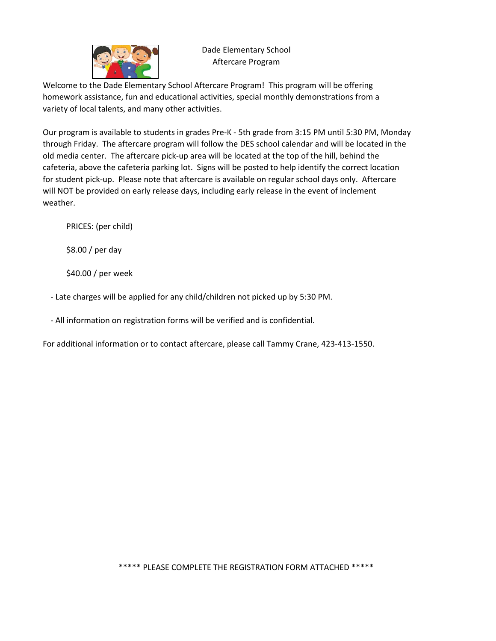

## Dade Elementary School Aftercare Program

Welcome to the Dade Elementary School Aftercare Program! This program will be offering homework assistance, fun and educational activities, special monthly demonstrations from a variety of local talents, and many other activities.

Our program is available to students in grades Pre-K - 5th grade from 3:15 PM until 5:30 PM, Monday through Friday. The aftercare program will follow the DES school calendar and will be located in the old media center. The aftercare pick-up area will be located at the top of the hill, behind the cafeteria, above the cafeteria parking lot. Signs will be posted to help identify the correct location for student pick-up. Please note that aftercare is available on regular school days only. Aftercare will NOT be provided on early release days, including early release in the event of inclement weather.

PRICES: (per child)

\$8.00 / per day

\$40.00 / per week

- Late charges will be applied for any child/children not picked up by 5:30 PM.

- All information on registration forms will be verified and is confidential.

For additional information or to contact aftercare, please call Tammy Crane, 423-413-1550.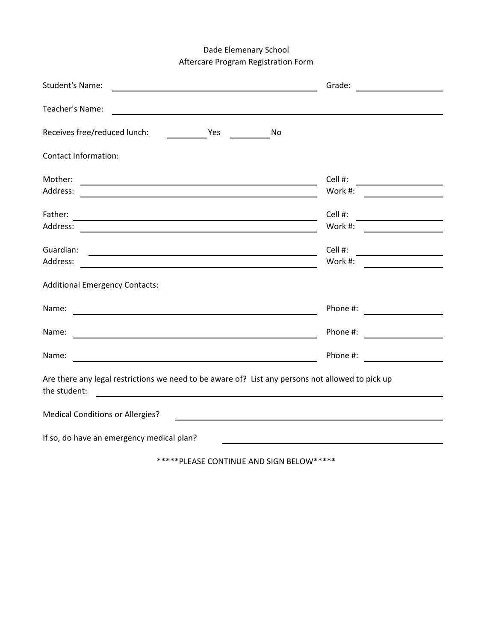## Dade Elemenary School Aftercare Program Registration Form

| <b>Student's Name:</b>                                                                                                                                                                                                                   | Grade:<br><u> 1990 - Jan Barbara Barbara, politik politik (</u> |
|------------------------------------------------------------------------------------------------------------------------------------------------------------------------------------------------------------------------------------------|-----------------------------------------------------------------|
| Teacher's Name:                                                                                                                                                                                                                          |                                                                 |
| Receives free/reduced lunch:<br><b>Example 19 Yes</b><br>No.                                                                                                                                                                             |                                                                 |
| Contact Information:                                                                                                                                                                                                                     |                                                                 |
| Mother:<br>the control of the control of the control of the control of the control of the control of the control of the control of the control of the control of the control of the control of the control of the control of the control | Cell #:                                                         |
| Address:<br><u> 1989 - Johann Stoff, Amerikaansk politiker († 1908)</u>                                                                                                                                                                  | Work #:                                                         |
| Father:                                                                                                                                                                                                                                  | Cell #:                                                         |
| Address:                                                                                                                                                                                                                                 | Work #:                                                         |
| Guardian:                                                                                                                                                                                                                                | Cell #:                                                         |
| Address:                                                                                                                                                                                                                                 | Work #:                                                         |
| <b>Additional Emergency Contacts:</b>                                                                                                                                                                                                    |                                                                 |
| Name:<br><u> 1989 - Johann Stoff, deutscher Stoffen und der Stoffen und der Stoffen und der Stoffen und der Stoffen und der</u>                                                                                                          | Phone #:                                                        |
| Name:                                                                                                                                                                                                                                    | Phone #:                                                        |
| Name:                                                                                                                                                                                                                                    | Phone #:                                                        |
| Are there any legal restrictions we need to be aware of? List any persons not allowed to pick up<br>the student:                                                                                                                         |                                                                 |
| <b>Medical Conditions or Allergies?</b>                                                                                                                                                                                                  |                                                                 |
| If so, do have an emergency medical plan?                                                                                                                                                                                                |                                                                 |

\*\*\*\*\*PLEASE CONTINUE AND SIGN BELOW\*\*\*\*\*